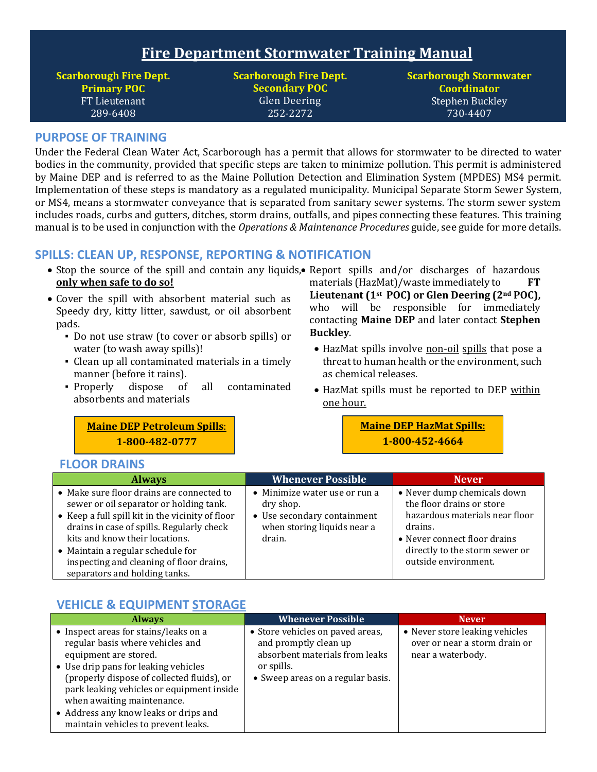# **Fire Department Stormwater Training Manual**

**Scarborough Fire Dept. Primary POC**  FT Lieutenant 289-6408

**Scarborough Fire Dept. Secondary POC** Glen Deering 252-2272

**Scarborough Stormwater Coordinator** Stephen Buckley 730-4407

#### **PURPOSE OF TRAINING**

Under the Federal Clean Water Act, Scarborough has a permit that allows for stormwater to be directed to water bodies in the community, provided that specific steps are taken to minimize pollution. This permit is administered by Maine DEP and is referred to as the Maine Pollution Detection and Elimination System (MPDES) MS4 permit. Implementation of these steps is mandatory as a regulated municipality. Municipal Separate Storm Sewer System, or MS4, means a stormwater conveyance that is separated from sanitary sewer systems. The storm sewer system includes roads, curbs and gutters, ditches, storm drains, outfalls, and pipes connecting these features. This training manual is to be used in conjunction with the *Operations & Maintenance Procedures* guide, see guide for more details.

#### **SPILLS: CLEAN UP, RESPONSE, REPORTING & NOTIFICATION**

- Stop the source of the spill and contain any liquids, Report spills and/or discharges of hazardous **only when safe to do so!**
- Cover the spill with absorbent material such as Speedy dry, kitty litter, sawdust, or oil absorbent pads.
	- Do not use straw (to cover or absorb spills) or water (to wash away spills)!
	- Clean up all contaminated materials in a timely manner (before it rains).
	- Properly dispose of all contaminated absorbents and materials

materials (HazMat)/waste immediately to **FT Lieutenant (1st POC) or Glen Deering (2nd POC),**  who will be responsible for immediately contacting **Maine DEP** and later contact **Stephen Buckley**.

- HazMat spills involve non-oil spills that pose a threat to human health or the environment, such as chemical releases.
- HazMat spills must be reported to DEP within one hour.

**Maine DEP Petroleum Spills**: **1-800-482-0777**

### **Maine DEP HazMat Spills: 1-800-452-4664**

#### **FLOOR DRAINS**

| <b>Always</b>                                                                                                                                                                                                                                                                                                                             | <b>Whenever Possible</b>                                                                                           | <b>Never</b>                                                                                                                                                                                    |
|-------------------------------------------------------------------------------------------------------------------------------------------------------------------------------------------------------------------------------------------------------------------------------------------------------------------------------------------|--------------------------------------------------------------------------------------------------------------------|-------------------------------------------------------------------------------------------------------------------------------------------------------------------------------------------------|
| • Make sure floor drains are connected to<br>sewer or oil separator or holding tank.<br>• Keep a full spill kit in the vicinity of floor<br>drains in case of spills. Regularly check<br>kits and know their locations.<br>• Maintain a regular schedule for<br>inspecting and cleaning of floor drains,<br>separators and holding tanks. | • Minimize water use or run a<br>dry shop.<br>• Use secondary containment<br>when storing liquids near a<br>drain. | • Never dump chemicals down<br>the floor drains or store<br>hazardous materials near floor<br>drains.<br>• Never connect floor drains<br>directly to the storm sewer or<br>outside environment. |

#### **VEHICLE & EQUIPMENT STORAGE**

| <b>Always</b>                                                                                                                                                                                                                                                                                                                                       | <b>Whenever Possible</b>                                                                                                                       | <b>Never</b>                                                                         |
|-----------------------------------------------------------------------------------------------------------------------------------------------------------------------------------------------------------------------------------------------------------------------------------------------------------------------------------------------------|------------------------------------------------------------------------------------------------------------------------------------------------|--------------------------------------------------------------------------------------|
| • Inspect areas for stains/leaks on a<br>regular basis where vehicles and<br>equipment are stored.<br>• Use drip pans for leaking vehicles<br>(properly dispose of collected fluids), or<br>park leaking vehicles or equipment inside<br>when awaiting maintenance.<br>• Address any know leaks or drips and<br>maintain vehicles to prevent leaks. | • Store vehicles on paved areas,<br>and promptly clean up<br>absorbent materials from leaks<br>or spills.<br>• Sweep areas on a regular basis. | • Never store leaking vehicles<br>over or near a storm drain or<br>near a waterbody. |